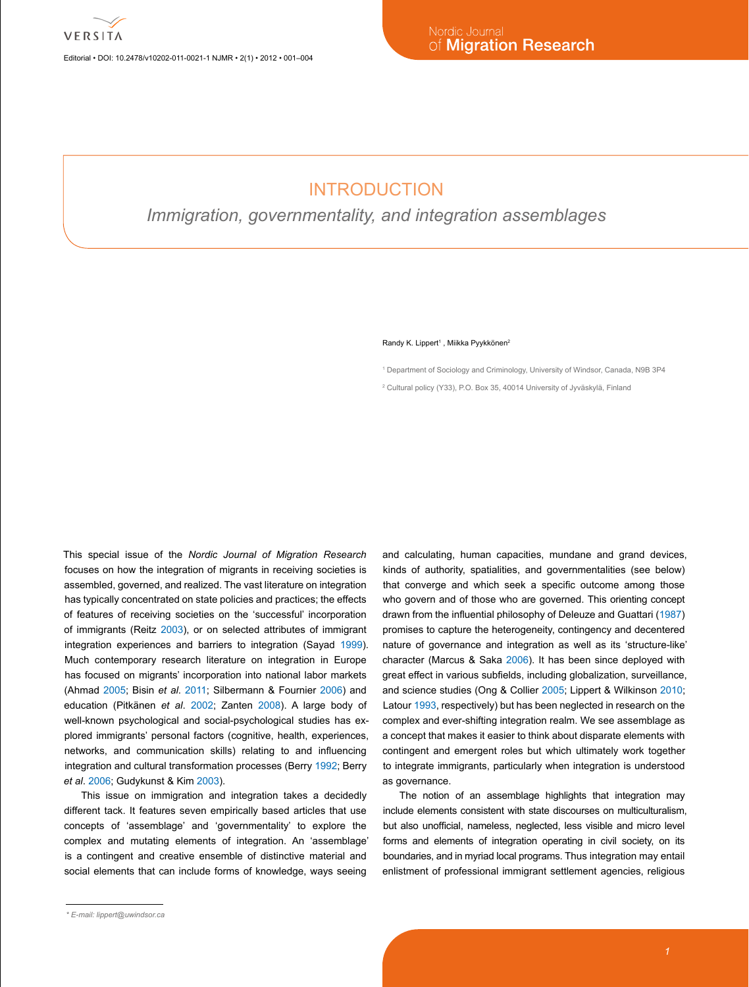Editorial • DOI: 10.2478/v10202-011-0021-1 NJMR • 2(1) • 2012 • 001–004

## INTRODUCTION

*Immigration, governmentality, and integration assemblages*

## Randy K. Lippert<sup>1</sup>, Miikka Pyykkönen<sup>2</sup>

1 Department of Sociology and Criminology, University of Windsor, Canada, N9B 3P4 2 Cultural policy (Y33), P.O. Box 35, 40014 University of Jyväskylä, Finland

This special issue of the *Nordic Journal of Migration Research*  focuses on how the integration of migrants in receiving societies is assembled, governed, and realized. The vast literature on integration has typically concentrated on state policies and practices; the effects of features of receiving societies on the 'successful' incorporation of immigrants (Reitz [2003\)](#page-3-0), or on selected attributes of immigrant integration experiences and barriers to integration (Sayad [1999](#page-3-1)). Much contemporary research literature on integration in Europe has focused on migrants' incorporation into national labor markets (Ahmad [2005;](#page-3-0) Bisin *et al*. [2011](#page-3-2); Silbermann & Fournier [2006](#page-3-3)) and education (Pitkänen *et al*. 2002; Zanten [2008](#page-3-4)). A large body of well-known psychological and social-psychological studies has explored immigrants' personal factors (cognitive, health, experiences, networks, and communication skills) relating to and influencing integration and cultural transformation processes (Berry [1992](#page-3-5); Berry *et al*. [2006](#page-3-6); Gudykunst & Kim [2003](#page-3-7)).

This issue on immigration and integration takes a decidedly different tack. It features seven empirically based articles that use concepts of 'assemblage' and 'governmentality' to explore the complex and mutating elements of integration. An 'assemblage' is a contingent and creative ensemble of distinctive material and social elements that can include forms of knowledge, ways seeing

*\* E-mail: [lippert@uwindsor.ca](mailto:lippert@uwindsor.ca)*

and calculating, human capacities, mundane and grand devices, kinds of authority, spatialities, and governmentalities (see below) that converge and which seek a specific outcome among those who govern and of those who are governed. This orienting concept drawn from the influential philosophy of Deleuze and Guattari [\(1987](#page-3-8)) promises to capture the heterogeneity, contingency and decentered nature of governance and integration as well as its 'structure-like' character (Marcus & Saka [2006](#page-3-9)). It has been since deployed with great effect in various subfields, including globalization, surveillance, and science studies (Ong & Collier [2005;](#page-3-10) Lippert & Wilkinson [2010;](#page-3-11) Latour [1993,](#page-3-12) respectively) but has been neglected in research on the complex and ever-shifting integration realm. We see assemblage as a concept that makes it easier to think about disparate elements with contingent and emergent roles but which ultimately work together to integrate immigrants, particularly when integration is understood as governance.

The notion of an assemblage highlights that integration may include elements consistent with state discourses on multiculturalism, but also unofficial, nameless, neglected, less visible and micro level forms and elements of integration operating in civil society, on its boundaries, and in myriad local programs. Thus integration may entail enlistment of professional immigrant settlement agencies, religious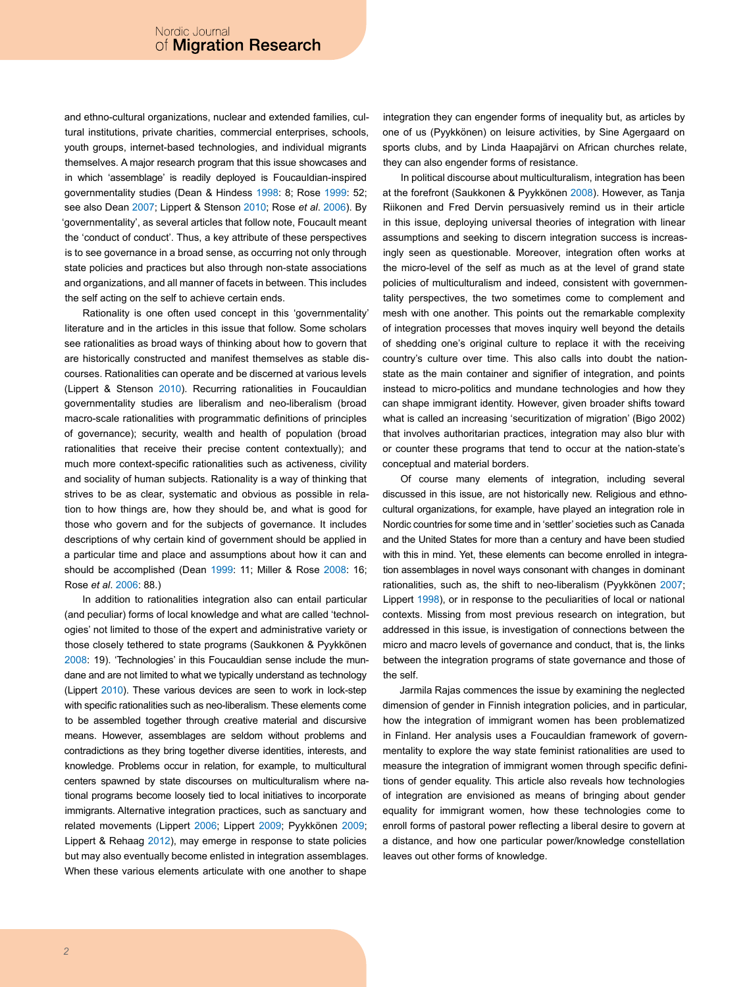and ethno-cultural organizations, nuclear and extended families, cultural institutions, private charities, commercial enterprises, schools, youth groups, internet-based technologies, and individual migrants themselves. A major research program that this issue showcases and in which 'assemblage' is readily deployed is Foucauldian-inspired governmentality studies (Dean & Hindess [1998:](#page-3-13) 8; Rose [1999:](#page-3-14) 52; see also Dean [2007;](#page-3-15) Lippert & Stenson [2010;](#page-3-16) Rose *et al*. [2006](#page-3-14)). By 'governmentality', as several articles that follow note, Foucault meant the 'conduct of conduct'. Thus, a key attribute of these perspectives is to see governance in a broad sense, as occurring not only through state policies and practices but also through non-state associations and organizations, and all manner of facets in between. This includes the self acting on the self to achieve certain ends.

Rationality is one often used concept in this 'governmentality' literature and in the articles in this issue that follow. Some scholars see rationalities as broad ways of thinking about how to govern that are historically constructed and manifest themselves as stable discourses. Rationalities can operate and be discerned at various levels (Lippert & Stenson [2010](#page-3-16)). Recurring rationalities in Foucauldian governmentality studies are liberalism and neo-liberalism (broad macro-scale rationalities with programmatic definitions of principles of governance); security, wealth and health of population (broad rationalities that receive their precise content contextually); and much more context-specific rationalities such as activeness, civility and sociality of human subjects. Rationality is a way of thinking that strives to be as clear, systematic and obvious as possible in relation to how things are, how they should be, and what is good for those who govern and for the subjects of governance. It includes descriptions of why certain kind of government should be applied in a particular time and place and assumptions about how it can and should be accomplished (Dean [1999](#page-3-17): 11; Miller & Rose [2008](#page-3-18): 16; Rose *et al*. [2006:](#page-3-14) 88.)

In addition to rationalities integration also can entail particular (and peculiar) forms of local knowledge and what are called 'technologies' not limited to those of the expert and administrative variety or those closely tethered to state programs (Saukkonen & Pyykkönen [2008](#page-3-19): 19). 'Technologies' in this Foucauldian sense include the mundane and are not limited to what we typically understand as technology (Lippert [2010\)](#page-3-11). These various devices are seen to work in lock-step with specific rationalities such as neo-liberalism. These elements come to be assembled together through creative material and discursive means. However, assemblages are seldom without problems and contradictions as they bring together diverse identities, interests, and knowledge. Problems occur in relation, for example, to multicultural centers spawned by state discourses on multiculturalism where national programs become loosely tied to local initiatives to incorporate immigrants. Alternative integration practices, such as sanctuary and related movements (Lippert [2006](#page-3-20); Lippert [2009;](#page-3-21) Pyykkönen 2009; Lippert & Rehaag [2012](#page-3-22)), may emerge in response to state policies but may also eventually become enlisted in integration assemblages. When these various elements articulate with one another to shape

integration they can engender forms of inequality but, as articles by one of us (Pyykkönen) on leisure activities, by Sine Agergaard on sports clubs, and by Linda Haapajärvi on African churches relate, they can also engender forms of resistance.

In political discourse about multiculturalism, integration has been at the forefront (Saukkonen & Pyykkönen [2008\)](#page-3-19). However, as Tanja Riikonen and Fred Dervin persuasively remind us in their article in this issue, deploying universal theories of integration with linear assumptions and seeking to discern integration success is increasingly seen as questionable. Moreover, integration often works at the micro-level of the self as much as at the level of grand state policies of multiculturalism and indeed, consistent with governmentality perspectives, the two sometimes come to complement and mesh with one another. This points out the remarkable complexity of integration processes that moves inquiry well beyond the details of shedding one's original culture to replace it with the receiving country's culture over time. This also calls into doubt the nationstate as the main container and signifier of integration, and points instead to micro-politics and mundane technologies and how they can shape immigrant identity. However, given broader shifts toward what is called an increasing 'securitization of migration' (Bigo 2002) that involves authoritarian practices, integration may also blur with or counter these programs that tend to occur at the nation-state's conceptual and material borders.

Of course many elements of integration, including several discussed in this issue, are not historically new. Religious and ethnocultural organizations, for example, have played an integration role in Nordic countries for some time and in 'settler' societies such as Canada and the United States for more than a century and have been studied with this in mind. Yet, these elements can become enrolled in integration assemblages in novel ways consonant with changes in dominant rationalities, such as, the shift to neo-liberalism (Pyykkönen 2007; Lippert [1998\)](#page-3-23), or in response to the peculiarities of local or national contexts. Missing from most previous research on integration, but addressed in this issue, is investigation of connections between the micro and macro levels of governance and conduct, that is, the links between the integration programs of state governance and those of the self.

Jarmila Rajas commences the issue by examining the neglected dimension of gender in Finnish integration policies, and in particular, how the integration of immigrant women has been problematized in Finland. Her analysis uses a Foucauldian framework of governmentality to explore the way state feminist rationalities are used to measure the integration of immigrant women through specific definitions of gender equality. This article also reveals how technologies of integration are envisioned as means of bringing about gender equality for immigrant women, how these technologies come to enroll forms of pastoral power reflecting a liberal desire to govern at a distance, and how one particular power/knowledge constellation leaves out other forms of knowledge.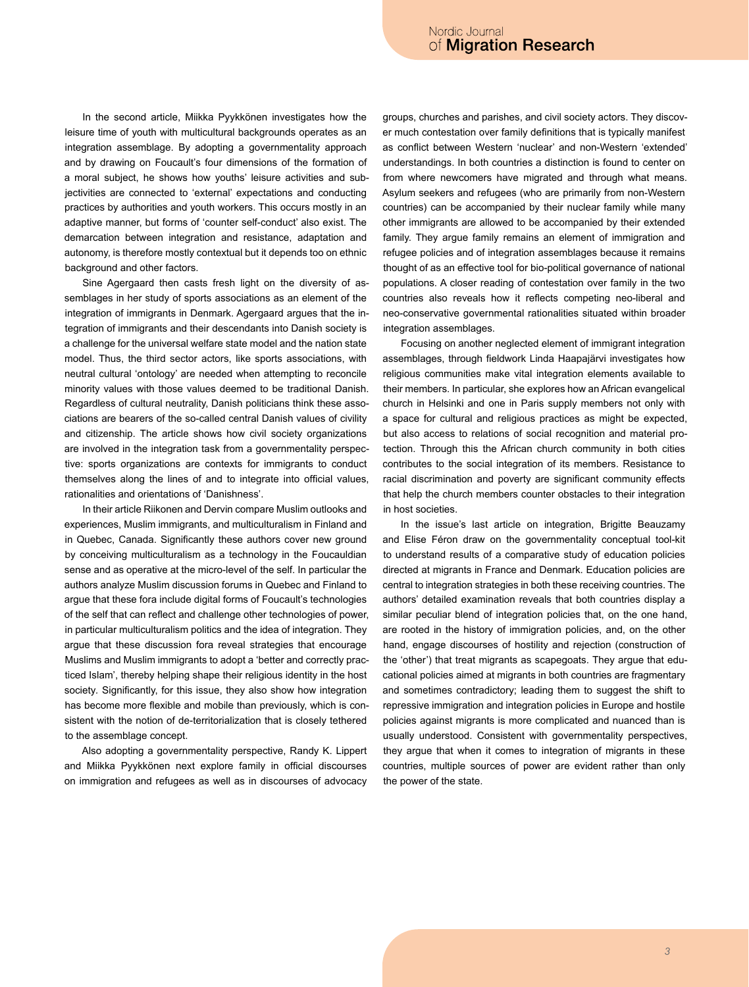In the second article, Miikka Pyykkönen investigates how the leisure time of youth with multicultural backgrounds operates as an integration assemblage. By adopting a governmentality approach and by drawing on Foucault's four dimensions of the formation of a moral subject, he shows how youths' leisure activities and subjectivities are connected to 'external' expectations and conducting practices by authorities and youth workers. This occurs mostly in an adaptive manner, but forms of 'counter self-conduct' also exist. The demarcation between integration and resistance, adaptation and autonomy, is therefore mostly contextual but it depends too on ethnic background and other factors.

Sine Agergaard then casts fresh light on the diversity of assemblages in her study of sports associations as an element of the integration of immigrants in Denmark. Agergaard argues that the integration of immigrants and their descendants into Danish society is a challenge for the universal welfare state model and the nation state model. Thus, the third sector actors, like sports associations, with neutral cultural 'ontology' are needed when attempting to reconcile minority values with those values deemed to be traditional Danish. Regardless of cultural neutrality, Danish politicians think these associations are bearers of the so-called central Danish values of civility and citizenship. The article shows how civil society organizations are involved in the integration task from a governmentality perspective: sports organizations are contexts for immigrants to conduct themselves along the lines of and to integrate into official values, rationalities and orientations of 'Danishness'.

In their article Riikonen and Dervin compare Muslim outlooks and experiences, Muslim immigrants, and multiculturalism in Finland and in Quebec, Canada. Significantly these authors cover new ground by conceiving multiculturalism as a technology in the Foucauldian sense and as operative at the micro-level of the self. In particular the authors analyze Muslim discussion forums in Quebec and Finland to argue that these fora include digital forms of Foucault's technologies of the self that can reflect and challenge other technologies of power, in particular multiculturalism politics and the idea of integration. They argue that these discussion fora reveal strategies that encourage Muslims and Muslim immigrants to adopt a 'better and correctly practiced Islam', thereby helping shape their religious identity in the host society*.* Significantly, for this issue, they also show how integration has become more flexible and mobile than previously, which is consistent with the notion of de-territorialization that is closely tethered to the assemblage concept.

Also adopting a governmentality perspective, Randy K. Lippert and Miikka Pyykkönen next explore family in official discourses on immigration and refugees as well as in discourses of advocacy groups, churches and parishes, and civil society actors. They discover much contestation over family definitions that is typically manifest as conflict between Western 'nuclear' and non-Western 'extended' understandings. In both countries a distinction is found to center on from where newcomers have migrated and through what means. Asylum seekers and refugees (who are primarily from non-Western countries) can be accompanied by their nuclear family while many other immigrants are allowed to be accompanied by their extended family. They argue family remains an element of immigration and refugee policies and of integration assemblages because it remains thought of as an effective tool for bio-political governance of national populations. A closer reading of contestation over family in the two countries also reveals how it reflects competing neo-liberal and neo-conservative governmental rationalities situated within broader integration assemblages.

Focusing on another neglected element of immigrant integration assemblages, through fieldwork Linda Haapajärvi investigates how religious communities make vital integration elements available to their members. In particular, she explores how an African evangelical church in Helsinki and one in Paris supply members not only with a space for cultural and religious practices as might be expected, but also access to relations of social recognition and material protection. Through this the African church community in both cities contributes to the social integration of its members. Resistance to racial discrimination and poverty are significant community effects that help the church members counter obstacles to their integration in host societies.

In the issue's last article on integration, Brigitte Beauzamy and Elise Féron draw on the governmentality conceptual tool-kit to understand results of a comparative study of education policies directed at migrants in France and Denmark. Education policies are central to integration strategies in both these receiving countries. The authors' detailed examination reveals that both countries display a similar peculiar blend of integration policies that, on the one hand, are rooted in the history of immigration policies, and, on the other hand, engage discourses of hostility and rejection (construction of the 'other') that treat migrants as scapegoats. They argue that educational policies aimed at migrants in both countries are fragmentary and sometimes contradictory; leading them to suggest the shift to repressive immigration and integration policies in Europe and hostile policies against migrants is more complicated and nuanced than is usually understood. Consistent with governmentality perspectives, they argue that when it comes to integration of migrants in these countries, multiple sources of power are evident rather than only the power of the state.